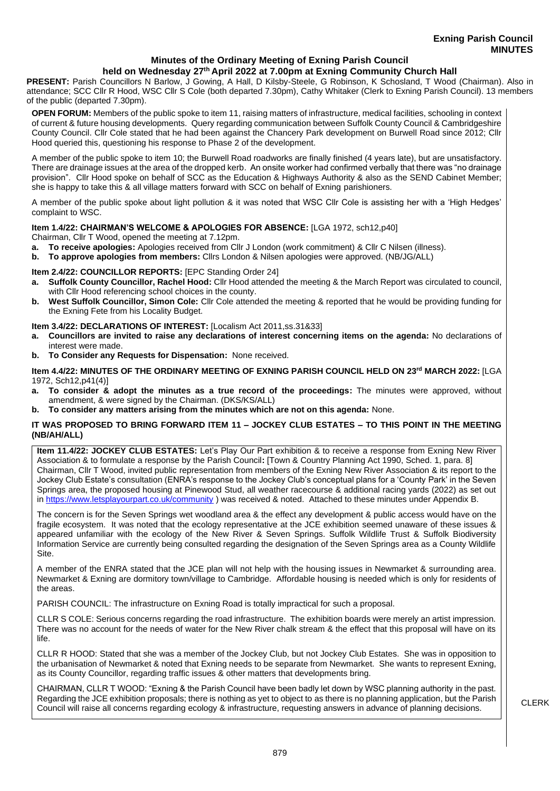### **Minutes of the Ordinary Meeting of Exning Parish Council held on Wednesday 27th April 2022 at 7.00pm at Exning Community Church Hall**

**PRESENT:** Parish Councillors N Barlow, J Gowing, A Hall, D Kilsby-Steele, G Robinson, K Schosland, T Wood (Chairman). Also in attendance; SCC Cllr R Hood, WSC Cllr S Cole (both departed 7.30pm), Cathy Whitaker (Clerk to Exning Parish Council). 13 members of the public (departed 7.30pm).

**OPEN FORUM:** Members of the public spoke to item 11, raising matters of infrastructure, medical facilities, schooling in context of current & future housing developments. Query regarding communication between Suffolk County Council & Cambridgeshire County Council. Cllr Cole stated that he had been against the Chancery Park development on Burwell Road since 2012; Cllr Hood queried this, questioning his response to Phase 2 of the development.

A member of the public spoke to item 10; the Burwell Road roadworks are finally finished (4 years late), but are unsatisfactory. There are drainage issues at the area of the dropped kerb. An onsite worker had confirmed verbally that there was "no drainage provision". Cllr Hood spoke on behalf of SCC as the Education & Highways Authority & also as the SEND Cabinet Member; she is happy to take this & all village matters forward with SCC on behalf of Exning parishioners.

A member of the public spoke about light pollution & it was noted that WSC Cllr Cole is assisting her with a 'High Hedges' complaint to WSC.

## **Item 1.4/22: CHAIRMAN'S WELCOME & APOLOGIES FOR ABSENCE:** [LGA 1972, sch12,p40]

Chairman, Cllr T Wood, opened the meeting at 7.12pm.

- **a. To receive apologies:** Apologies received from Cllr J London (work commitment) & Cllr C Nilsen (illness).
- **b. To approve apologies from members:** Cllrs London & Nilsen apologies were approved. (NB/JG/ALL)

## **Item 2.4/22: COUNCILLOR REPORTS:** [EPC Standing Order 24]

- **a. Suffolk County Councillor, Rachel Hood:** Cllr Hood attended the meeting & the March Report was circulated to council, with Cllr Hood referencing school choices in the county.
- **b. West Suffolk Councillor, Simon Cole:** Cllr Cole attended the meeting & reported that he would be providing funding for the Exning Fete from his Locality Budget.

# **Item 3.4/22: DECLARATIONS OF INTEREST:** [Localism Act 2011,ss.31&33]

- **a. Councillors are invited to raise any declarations of interest concerning items on the agenda:** No declarations of interest were made.
- **b. To Consider any Requests for Dispensation:** None received.

### **Item 4.4/22: MINUTES OF THE ORDINARY MEETING OF EXNING PARISH COUNCIL HELD ON 23rd MARCH 2022:** [LGA 1972, Sch12,p41(4)]

- **a. To consider & adopt the minutes as a true record of the proceedings:** The minutes were approved, without amendment, & were signed by the Chairman. (DKS/KS/ALL)
- **b. To consider any matters arising from the minutes which are not on this agenda:** None.

## **IT WAS PROPOSED TO BRING FORWARD ITEM 11 – JOCKEY CLUB ESTATES – TO THIS POINT IN THE MEETING (NB/AH/ALL)**

**Item 11.4/22: JOCKEY CLUB ESTATES:** Let's Play Our Part exhibition & to receive a response from Exning New River Association & to formulate a response by the Parish Council**:** [Town & Country Planning Act 1990, Sched. 1, para. 8] Chairman, Cllr T Wood, invited public representation from members of the Exning New River Association & its report to the Jockey Club Estate's consultation (ENRA's response to the Jockey Club's conceptual plans for a 'County Park' in the Seven Springs area, the proposed housing at Pinewood Stud, all weather racecourse & additional racing yards (2022) as set out in<https://www.letsplayourpart.co.uk/community> ) was received & noted. Attached to these minutes under Appendix B.

The concern is for the Seven Springs wet woodland area & the effect any development & public access would have on the fragile ecosystem. It was noted that the ecology representative at the JCE exhibition seemed unaware of these issues & appeared unfamiliar with the ecology of the New River & Seven Springs. Suffolk Wildlife Trust & Suffolk Biodiversity Information Service are currently being consulted regarding the designation of the Seven Springs area as a County Wildlife Site.

A member of the ENRA stated that the JCE plan will not help with the housing issues in Newmarket & surrounding area. Newmarket & Exning are dormitory town/village to Cambridge. Affordable housing is needed which is only for residents of the areas.

PARISH COUNCIL: The infrastructure on Exning Road is totally impractical for such a proposal.

CLLR S COLE: Serious concerns regarding the road infrastructure. The exhibition boards were merely an artist impression. There was no account for the needs of water for the New River chalk stream & the effect that this proposal will have on its life.

CLLR R HOOD: Stated that she was a member of the Jockey Club, but not Jockey Club Estates. She was in opposition to the urbanisation of Newmarket & noted that Exning needs to be separate from Newmarket. She wants to represent Exning, as its County Councillor, regarding traffic issues & other matters that developments bring.

CHAIRMAN, CLLR T WOOD: "Exning & the Parish Council have been badly let down by WSC planning authority in the past. Regarding the JCE exhibition proposals; there is nothing as yet to object to as there is no planning application, but the Parish Regarding the JCE exhibition proposals; there is nothing as yet to object to as there is no planning application, but the Parish [14] CLERK<br>Council will raise all concerns regarding ecology & infrastructure, requesting ans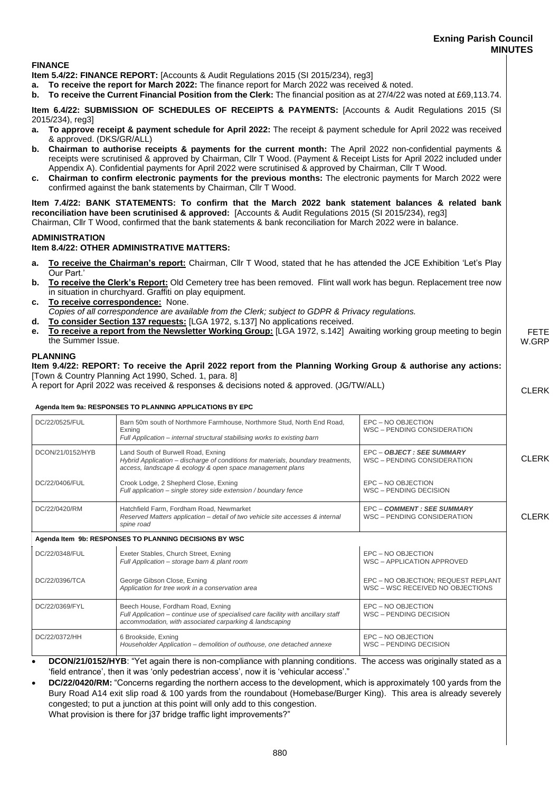# **Exning Parish Council MINUTES**

FETE W.GRP

CLERK

## **FINANCE**

**Item 5.4/22: FINANCE REPORT:** [Accounts & Audit Regulations 2015 (SI 2015/234), reg3]

- **a. To receive the report for March 2022:** The finance report for March 2022 was received & noted.
- **b. To receive the Current Financial Position from the Clerk:** The financial position as at 27/4/22 was noted at £69,113.74.

**Item 6.4/22: SUBMISSION OF SCHEDULES OF RECEIPTS & PAYMENTS:** [Accounts & Audit Regulations 2015 (SI 2015/234), reg3]

- **a. To approve receipt & payment schedule for April 2022:** The receipt & payment schedule for April 2022 was received & approved. (DKS/GR/ALL)
- **b. Chairman to authorise receipts & payments for the current month:** The April 2022 non-confidential payments & receipts were scrutinised & approved by Chairman, Cllr T Wood. (Payment & Receipt Lists for April 2022 included under Appendix A). Confidential payments for April 2022 were scrutinised & approved by Chairman, Cllr T Wood.
- **c. Chairman to confirm electronic payments for the previous months:** The electronic payments for March 2022 were confirmed against the bank statements by Chairman, Cllr T Wood.

**Item 7.4/22: BANK STATEMENTS: To confirm that the March 2022 bank statement balances & related bank reconciliation have been scrutinised & approved:** [Accounts & Audit Regulations 2015 (SI 2015/234), reg3] Chairman, Cllr T Wood, confirmed that the bank statements & bank reconciliation for March 2022 were in balance.

#### **ADMINISTRATION**

## **Item 8.4/22: OTHER ADMINISTRATIVE MATTERS:**

- **a. To receive the Chairman's report:** Chairman, Cllr T Wood, stated that he has attended the JCE Exhibition 'Let's Play Our Part.'
- **b. To receive the Clerk's Report:** Old Cemetery tree has been removed. Flint wall work has begun. Replacement tree now in situation in churchyard. Graffiti on play equipment.
- **c. To receive correspondence:** None. *Copies of all correspondence are available from the Clerk; subject to GDPR & Privacy regulations.*
- **d. To consider Section 137 requests:** [LGA 1972, s.137] No applications received.
- **e. To receive a report from the Newsletter Working Group:** [LGA 1972, s.142] Awaiting working group meeting to begin the Summer Issue.

#### **PLANNING**

**Item 9.4/22: REPORT: To receive the April 2022 report from the Planning Working Group & authorise any actions:**  [Town & Country Planning Act 1990, Sched. 1, para. 8]

A report for April 2022 was received & responses & decisions noted & approved. (JG/TW/ALL)

#### **Agenda Item 9a: RESPONSES TO PLANNING APPLICATIONS BY EPC**

| DC/22/0525/FUL   | Barn 50m south of Northmore Farmhouse, Northmore Stud, North End Road,<br>Exning<br>Full Application - internal structural stabilising works to existing barn                       | EPC - NO OBJECTION<br>WSC - PENDING CONSIDERATION                       |              |
|------------------|-------------------------------------------------------------------------------------------------------------------------------------------------------------------------------------|-------------------------------------------------------------------------|--------------|
| DCON/21/0152/HYB | Land South of Burwell Road, Exning<br>Hybrid Application – discharge of conditions for materials, boundary treatments,<br>access, landscape & ecology & open space management plans | EPC - OBJECT : SEE SUMMARY<br>WSC - PENDING CONSIDERATION               | <b>CLERK</b> |
| DC/22/0406/FUL   | Crook Lodge, 2 Shepherd Close, Exning<br>Full application - single storey side extension / boundary fence                                                                           | EPC - NO OBJECTION<br>WSC - PENDING DECISION                            |              |
| DC/22/0420/RM    | Hatchfield Farm, Fordham Road, Newmarket<br>Reserved Matters application – detail of two vehicle site accesses & internal<br>spine road                                             | <b>EPC - COMMENT : SEE SUMMARY</b><br>WSC - PENDING CONSIDERATION       | <b>CLERK</b> |
|                  | Agenda Item 9b: RESPONSES TO PLANNING DECISIONS BY WSC                                                                                                                              |                                                                         |              |
| DC/22/0348/FUL   | Exeter Stables, Church Street, Exning<br>Full Application - storage barn & plant room                                                                                               | EPC - NO OBJECTION<br>WSC - APPLICATION APPROVED                        |              |
| DC/22/0396/TCA   | George Gibson Close, Exning<br>Application for tree work in a conservation area                                                                                                     | EPC - NO OBJECTION; REQUEST REPLANT<br>WSC - WSC RECEIVED NO OBJECTIONS |              |
| DC/22/0369/FYL   | Beech House, Fordham Road, Exning<br>Full Application - continue use of specialised care facility with ancillary staff<br>accommodation, with associated carparking & landscaping   | EPC - NO OBJECTION<br>WSC - PENDING DECISION                            |              |
| DC/22/0372/HH    | 6 Brookside, Exning<br>Householder Application - demolition of outhouse, one detached annexe                                                                                        | EPC - NO OBJECTION<br>WSC - PENDING DECISION                            |              |

**DCON/21/0152/HYB**: "Yet again there is non-compliance with planning conditions. The access was originally stated as a 'field entrance', then it was 'only pedestrian access', now it is 'vehicular access'."

• **DC/22/0420/RM:** "Concerns regarding the northern access to the development, which is approximately 100 yards from the Bury Road A14 exit slip road & 100 yards from the roundabout (Homebase/Burger King). This area is already severely congested; to put a junction at this point will only add to this congestion. What provision is there for j37 bridge traffic light improvements?"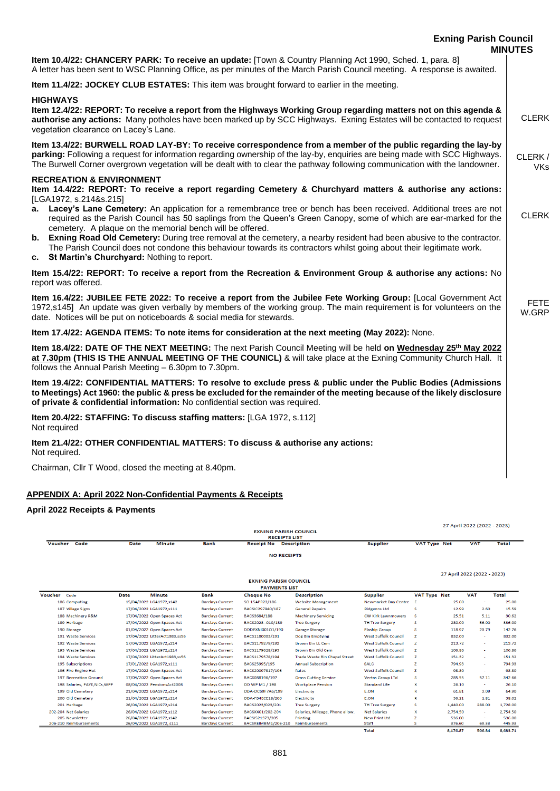| <b>Exning Parish Council</b>                                                                                                                                                                                                                                                                                                                                                                                                                                                           | <b>MINUTES</b>       |
|----------------------------------------------------------------------------------------------------------------------------------------------------------------------------------------------------------------------------------------------------------------------------------------------------------------------------------------------------------------------------------------------------------------------------------------------------------------------------------------|----------------------|
| Item 10.4/22: CHANCERY PARK: To receive an update: [Town & Country Planning Act 1990, Sched. 1, para. 8]<br>A letter has been sent to WSC Planning Office, as per minutes of the March Parish Council meeting. A response is awaited.                                                                                                                                                                                                                                                  |                      |
| Item 11.4/22: JOCKEY CLUB ESTATES: This item was brought forward to earlier in the meeting.                                                                                                                                                                                                                                                                                                                                                                                            |                      |
| <b>HIGHWAYS</b><br>Item 12.4/22: REPORT: To receive a report from the Highways Working Group regarding matters not on this agenda &<br>authorise any actions: Many potholes have been marked up by SCC Highways. Exning Estates will be contacted to request<br>vegetation clearance on Lacey's Lane.                                                                                                                                                                                  | <b>CLERK</b>         |
| Item 13.4/22: BURWELL ROAD LAY-BY: To receive correspondence from a member of the public regarding the lay-by<br>parking: Following a request for information regarding ownership of the lay-by, enquiries are being made with SCC Highways.<br>The Burwell Corner overgrown vegetation will be dealt with to clear the pathway following communication with the landowner.                                                                                                            | CLERK/<br><b>VKs</b> |
| <b>RECREATION &amp; ENVIRONMENT</b><br>Item 14.4/22: REPORT: To receive a report regarding Cemetery & Churchyard matters & authorise any actions:<br>[LGA1972, s.214&s.215]<br>a. Lacey's Lane Cemetery: An application for a remembrance tree or bench has been received. Additional trees are not                                                                                                                                                                                    |                      |
| required as the Parish Council has 50 saplings from the Queen's Green Canopy, some of which are ear-marked for the<br>cemetery. A plaque on the memorial bench will be offered.<br>b. Exning Road Old Cemetery: During tree removal at the cemetery, a nearby resident had been abusive to the contractor.<br>The Parish Council does not condone this behaviour towards its contractors whilst going about their legitimate work.<br>St Martin's Churchyard: Nothing to report.<br>C. | <b>CLERK</b>         |
| Item 15.4/22: REPORT: To receive a report from the Recreation & Environment Group & authorise any actions: No<br>report was offered.                                                                                                                                                                                                                                                                                                                                                   |                      |
| Item 16.4/22: JUBILEE FETE 2022: To receive a report from the Jubilee Fete Working Group: [Local Government Act<br>1972,s145] An update was given verbally by members of the working group. The main requirement is for volunteers on the<br>date. Notices will be put on noticeboards & social media for stewards.                                                                                                                                                                    | <b>FETE</b><br>W.GRP |
| Item 17.4/22: AGENDA ITEMS: To note items for consideration at the next meeting (May 2022): None.                                                                                                                                                                                                                                                                                                                                                                                      |                      |
| Item 18.4/22: DATE OF THE NEXT MEETING: The next Parish Council Meeting will be held on Wednesday 25 <sup>th</sup> May 2022<br>at 7.30pm (THIS IS THE ANNUAL MEETING OF THE COUNICL) & will take place at the Exning Community Church Hall. It<br>follows the Annual Parish Meeting - 6.30pm to 7.30pm.                                                                                                                                                                                |                      |
| Item 19.4/22: CONFIDENTIAL MATTERS: To resolve to exclude press & public under the Public Bodies (Admissions<br>to Meetings) Act 1960: the public & press be excluded for the remainder of the meeting because of the likely disclosure<br>of private & confidential information: No confidential section was required.                                                                                                                                                                |                      |
| Item 20.4/22: STAFFING: To discuss staffing matters: [LGA 1972, s.112]<br>Not required                                                                                                                                                                                                                                                                                                                                                                                                 |                      |
| Item 21.4/22: OTHER CONFIDENTIAL MATTERS: To discuss & authorise any actions:<br>Not required.                                                                                                                                                                                                                                                                                                                                                                                         |                      |
| Chairman, Cllr T Wood, closed the meeting at 8.40pm.                                                                                                                                                                                                                                                                                                                                                                                                                                   |                      |
| <b>APPENDIX A: April 2022 Non-Confidential Payments &amp; Receipts</b>                                                                                                                                                                                                                                                                                                                                                                                                                 |                      |

# **April 2022 Receipts & Payments**

|                               |             | <b>EXNING PARISH COUNCIL</b>  |                         |                                           |                                      |                             |                     | 27 April 2022 (2022 - 2023) |                             |              |
|-------------------------------|-------------|-------------------------------|-------------------------|-------------------------------------------|--------------------------------------|-----------------------------|---------------------|-----------------------------|-----------------------------|--------------|
| Code<br>Voucher               | <b>Date</b> | <b>Minute</b>                 | <b>Bank</b>             | <b>RECEIPTS LIST</b><br><b>Receipt No</b> | <b>Description</b>                   | <b>Supplier</b>             | <b>VAT Type Net</b> |                             | <b>VAT</b>                  | <b>Total</b> |
|                               |             |                               |                         |                                           |                                      |                             |                     |                             |                             |              |
|                               |             |                               |                         | <b>NO RECEIPTS</b>                        |                                      |                             |                     |                             |                             |              |
|                               |             |                               |                         |                                           |                                      |                             |                     |                             | 27 April 2022 (2022 - 2023) |              |
|                               |             |                               |                         | <b>EXNING PARISH COUNCIL</b>              |                                      |                             |                     |                             |                             |              |
|                               |             |                               |                         | <b>PAYMENTS LIST</b>                      |                                      |                             |                     |                             |                             |              |
| Voucher Code                  | Date        | <b>Minute</b>                 | Bank                    | <b>Cheque No</b>                          | <b>Description</b>                   | <b>Supplier</b>             | <b>VAT Type Net</b> |                             | <b>VAT</b>                  | Total        |
| 186 Computing                 |             | 15/04/2022 LGA1972,s142       | <b>Barclays Current</b> | SO 15APR22/186                            | <b>Website Management</b>            | <b>Newmarket Day Centre</b> | F                   | 25.00                       | $\sim$                      | 25.00        |
| 187 Village Signs             |             | 17/04/2022 LGA1972,s111       | <b>Barclays Current</b> | BACSIC297940/187                          | <b>General Repairs</b>               | <b>Ridgeons Ltd</b>         | s                   | 12.99                       | 2.60                        | 15.59        |
| 188 Machinery R&M             |             | 17/04/2022 Open Spaces Act    | <b>Barclays Current</b> | BACS3684/188                              | <b>Machinery Servicing</b>           | <b>CW Kirk Lawnmowers</b>   | <b>S</b>            | 25.51                       | 5.11                        | 30.62        |
| 189 Herbage                   |             | 17/04/2022 Open Spaces Act    | <b>Barclays Current</b> | BACS2023-010/189                          | <b>Tree Surgery</b>                  | <b>TH Tree Surgery</b>      | s                   | 280.00                      | 56.00                       | 336.00       |
| 190 Storage                   |             | 01/04/2022 Open Spaces Act    | <b>Barclays Current</b> | DDDEXNI001Q1/190                          | <b>Garage Storage</b>                | <b>Flaship Group</b>        | s                   | 118.97                      | 23.79                       | 142.76       |
| 191 Waste Services            |             | 17/04/2022 LitterAct1983,ss56 | <b>Barclays Current</b> | BACS1180003/191                           | Dog Bin Emptying                     | <b>West Suffolk Council</b> | z                   | 832.00                      | $\sim$                      | 832.00       |
| 192 Waste Services            |             | 17/04/2022 LGA1972.s214       | <b>Barclays Current</b> | BACS1179279/192                           | <b>Brown Bin LL Cem</b>              | <b>West Suffolk Council</b> | z                   | 213.72                      | $\sim$                      | 213.72       |
| 193 Waste Services            |             | 17/04/2022 LGA1972.s214       | <b>Barclays Current</b> | BACS1179628/193                           | <b>Brown Bin Old Cem</b>             | <b>West Suffolk Council</b> | z                   | 106.86                      | ×.                          | 106.86       |
| 194 Waste Services            |             | 17/04/2022 LitterAct1983,ss56 | <b>Barclays Current</b> | BACS1179578/194                           | <b>Trade Waste Bin Chapel Street</b> | <b>West Suffolk Council</b> | z                   | 151.32                      | $\sim$                      | 151.32       |
| 195 Subscriptions             |             | 17/01/2022 LGA1972,s111       | <b>Barclays Current</b> | BACS25995/195                             | <b>Annual Subscription</b>           | <b>SALC</b>                 | z                   | 794.93                      | <b>A</b>                    | 794.93       |
| 196 Fire Engine Hut           |             | 17/04/2022 Open Spaces Act    | <b>Barclays Current</b> | BACS20097817/196                          | Rates                                | <b>West Suffolk Council</b> | z                   | 98.80                       | <b>COL</b>                  | 98.80        |
| 197 Recreation Ground         |             | 17/04/2022 Open Spaces Act    | <b>Barclays Current</b> | BACS088196/197                            | <b>Grass Cutting Service</b>         | <b>Vertas Group LTd</b>     | s                   | 285.55                      | 57.11                       | 342.66       |
| 198 Salaries, PAYE, NICs, WPP |             | 08/04/2022 PensionsAct2008    | <b>Barclays Current</b> | DD WP M1 / 198                            | <b>Workplace Pension</b>             | <b>Standard Life</b>        | x                   | 26.10                       | $\sim$                      | 26.10        |
| 199 Old Cemetery              |             | 21/04/2022 LGA1972,s214       | <b>Barclays Current</b> | DDA-DC69F7A6/199                          | Electricity                          | E.ON                        | R                   | 61.81                       | 3.09                        | 64.90        |
| 200 Old Cemetery              |             | 21/04/2022 LGA1972.s214       | <b>Barclays Current</b> | DDA-FB4ECE18/200                          | Electricity                          | <b>E.ON</b>                 | R                   | 36.21                       | 1.81                        | 38.02        |
| 201 Herbage                   |             | 26/04/2022 LGA1972.s214       | <b>Barclays Current</b> | BACS2023/023/201                          | <b>Tree Surgery</b>                  | <b>TH Tree Surgery</b>      | s                   | 1,440.00                    | 288,00                      | 1,728.00     |
| 202-204 Net Salaries          |             | 26/04/2022 LGA1972.s112       | <b>Barclays Current</b> | BACSXX01/202-204                          | Salaries, Mileage, Phone allow.      | <b>Net Salaries</b>         | X                   | 2,754.50                    | $\sim$                      | 2,754.50     |
| 205 Newsletter                |             | 26/04/2022 LGA1972.s142       | <b>Barclays Current</b> | BACSI521373/205                           | Printing                             | <b>New Print Ltd</b>        | z                   | 536.00                      | $\sim$                      | 536.00       |
| 206-210 Reimbursements        |             | 26/04/2022 LGA1972, s111      | <b>Barclays Current</b> | BACSREIMBM1/206-210                       | <b>Reimbursements</b>                | Staff                       | s                   | 376.60                      | 69.33                       | 445.93       |